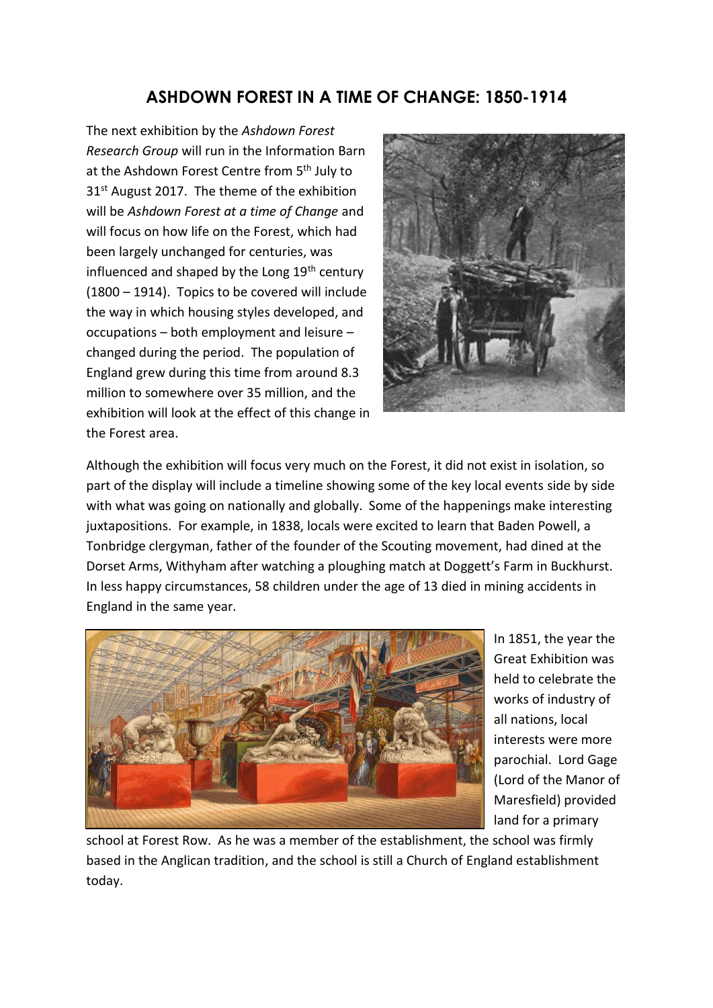## **ASHDOWN FOREST IN A TIME OF CHANGE: 1850-1914**

The next exhibition by the *Ashdown Forest Research Group* will run in the Information Barn at the Ashdown Forest Centre from 5<sup>th</sup> July to 31<sup>st</sup> August 2017. The theme of the exhibition will be *Ashdown Forest at a time of Change* and will focus on how life on the Forest, which had been largely unchanged for centuries, was influenced and shaped by the Long 19<sup>th</sup> century (1800 – 1914). Topics to be covered will include the way in which housing styles developed, and occupations – both employment and leisure – changed during the period. The population of England grew during this time from around 8.3 million to somewhere over 35 million, and the exhibition will look at the effect of this change in the Forest area.



Although the exhibition will focus very much on the Forest, it did not exist in isolation, so part of the display will include a timeline showing some of the key local events side by side with what was going on nationally and globally. Some of the happenings make interesting juxtapositions. For example, in 1838, locals were excited to learn that Baden Powell, a Tonbridge clergyman, father of the founder of the Scouting movement, had dined at the Dorset Arms, Withyham after watching a ploughing match at Doggett's Farm in Buckhurst. In less happy circumstances, 58 children under the age of 13 died in mining accidents in England in the same year.



In 1851, the year the Great Exhibition was held to celebrate the works of industry of all nations, local interests were more parochial. Lord Gage (Lord of the Manor of Maresfield) provided land for a primary

school at Forest Row. As he was a member of the establishment, the school was firmly based in the Anglican tradition, and the school is still a Church of England establishment today.